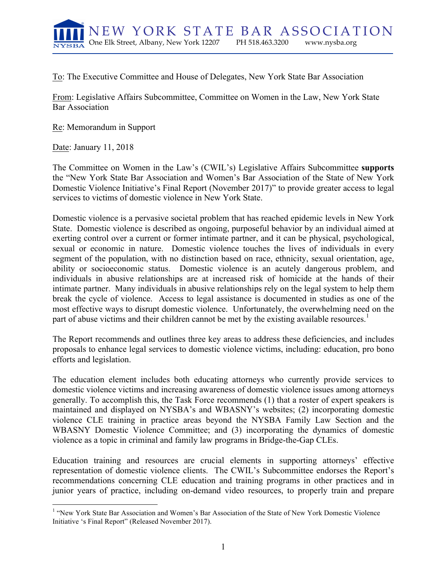

To: The Executive Committee and House of Delegates, New York State Bar Association

From: Legislative Affairs Subcommittee, Committee on Women in the Law, New York State Bar Association

Re: Memorandum in Support

Date: January 11, 2018

The Committee on Women in the Law's (CWIL's) Legislative Affairs Subcommittee **supports** the "New York State Bar Association and Women's Bar Association of the State of New York Domestic Violence Initiative's Final Report (November 2017)" to provide greater access to legal services to victims of domestic violence in New York State.

Domestic violence is a pervasive societal problem that has reached epidemic levels in New York State. Domestic violence is described as ongoing, purposeful behavior by an individual aimed at exerting control over a current or former intimate partner, and it can be physical, psychological, sexual or economic in nature. Domestic violence touches the lives of individuals in every segment of the population, with no distinction based on race, ethnicity, sexual orientation, age, ability or socioeconomic status. Domestic violence is an acutely dangerous problem, and individuals in abusive relationships are at increased risk of homicide at the hands of their intimate partner. Many individuals in abusive relationships rely on the legal system to help them break the cycle of violence. Access to legal assistance is documented in studies as one of the most effective ways to disrupt domestic violence. Unfortunately, the overwhelming need on the part of abuse victims and their children cannot be met by the existing available resources.<sup>1</sup>

The Report recommends and outlines three key areas to address these deficiencies, and includes proposals to enhance legal services to domestic violence victims, including: education, pro bono efforts and legislation.

The education element includes both educating attorneys who currently provide services to domestic violence victims and increasing awareness of domestic violence issues among attorneys generally. To accomplish this, the Task Force recommends (1) that a roster of expert speakers is maintained and displayed on NYSBA's and WBASNY's websites; (2) incorporating domestic violence CLE training in practice areas beyond the NYSBA Family Law Section and the WBASNY Domestic Violence Committee; and (3) incorporating the dynamics of domestic violence as a topic in criminal and family law programs in Bridge-the-Gap CLEs.

Education training and resources are crucial elements in supporting attorneys' effective representation of domestic violence clients. The CWIL's Subcommittee endorses the Report's recommendations concerning CLE education and training programs in other practices and in junior years of practice, including on-demand video resources, to properly train and prepare

<sup>&</sup>lt;sup>1</sup> "New York State Bar Association and Women's Bar Association of the State of New York Domestic Violence Initiative 's Final Report" (Released November 2017).